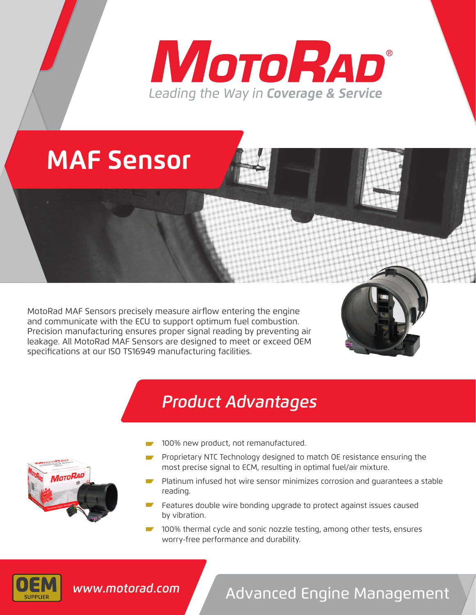# **MOTORAD®** Leading the Way in Coverage & Service

## **MAF Sensor**

MotoRad MAF Sensors precisely measure airflow entering the engine and communicate with the ECU to support optimum fuel combustion. Precision manufacturing ensures proper signal reading by preventing air leakage. All MotoRad MAF Sensors are designed to meet or exceed OEM specifications at our ISO TS16949 manufacturing facilities.

## *Product Advantages*

- **IOTORAD**
- 100% new product, not remanufactured.
- Proprietary NTC Technology designed to match OE resistance ensuring the most precise signal to ECM, resulting in optimal fuel/air mixture.
- Platinum infused hot wire sensor minimizes corrosion and guarantees a stable reading.
- Features double wire bonding upgrade to protect against issues caused by vibration.
- **100%** thermal cycle and sonic nozzle testing, among other tests, ensures worry-free performance and durability.



## Advanced Engine Management *www.motorad.com*